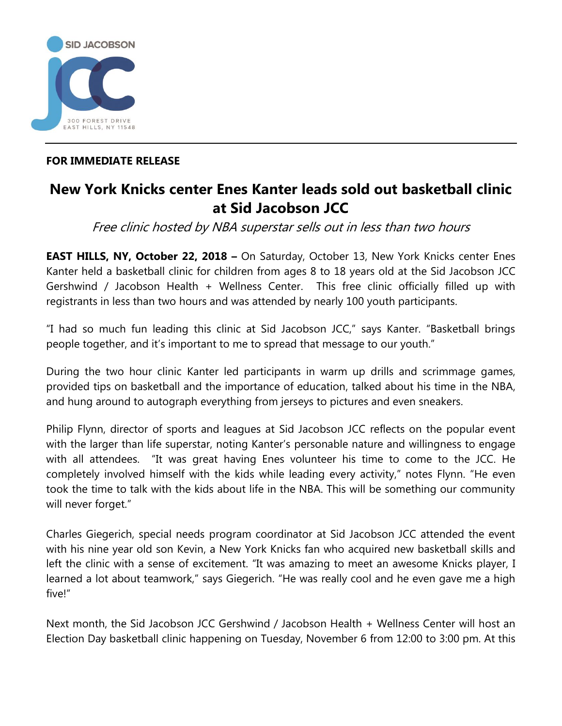

## **FOR IMMEDIATE RELEASE**

## **New York Knicks center Enes Kanter leads sold out basketball clinic at Sid Jacobson JCC**

Free clinic hosted by NBA superstar sells out in less than two hours

**EAST HILLS, NY, October 22, 2018 –** On Saturday, October 13, New York Knicks center Enes Kanter held a basketball clinic for children from ages 8 to 18 years old at the Sid Jacobson JCC Gershwind / Jacobson Health + Wellness Center. This free clinic officially filled up with registrants in less than two hours and was attended by nearly 100 youth participants.

"I had so much fun leading this clinic at Sid Jacobson JCC," says Kanter. "Basketball brings people together, and it's important to me to spread that message to our youth."

During the two hour clinic Kanter led participants in warm up drills and scrimmage games, provided tips on basketball and the importance of education, talked about his time in the NBA, and hung around to autograph everything from jerseys to pictures and even sneakers.

Philip Flynn, director of sports and leagues at Sid Jacobson JCC reflects on the popular event with the larger than life superstar, noting Kanter's personable nature and willingness to engage with all attendees. "It was great having Enes volunteer his time to come to the JCC. He completely involved himself with the kids while leading every activity," notes Flynn. "He even took the time to talk with the kids about life in the NBA. This will be something our community will never forget."

Charles Giegerich, special needs program coordinator at Sid Jacobson JCC attended the event with his nine year old son Kevin, a New York Knicks fan who acquired new basketball skills and left the clinic with a sense of excitement. "It was amazing to meet an awesome Knicks player, I learned a lot about teamwork," says Giegerich. "He was really cool and he even gave me a high five!"

Next month, the Sid Jacobson JCC Gershwind / Jacobson Health + Wellness Center will host an Election Day basketball clinic happening on Tuesday, November 6 from 12:00 to 3:00 pm. At this